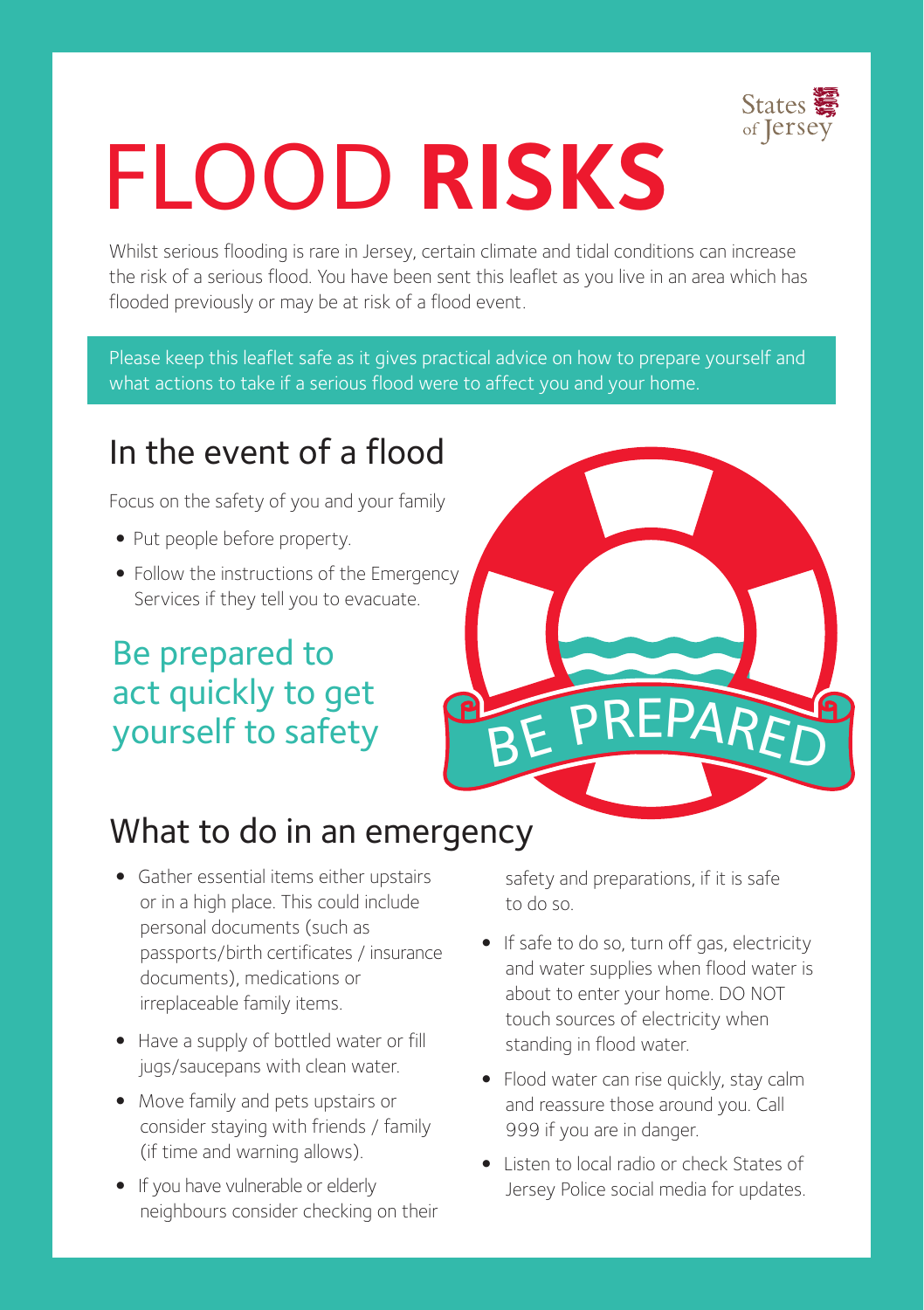

# FLOOD **RISKS**

Whilst serious flooding is rare in Jersey, certain climate and tidal conditions can increase the risk of a serious flood. You have been sent this leaflet as you live in an area which has flooded previously or may be at risk of a flood event.

Please keep this leaflet safe as it gives practical advice on how to prepare yourself and what actions to take if a serious flood were to affect you and your home.

# In the event of a flood

Focus on the safety of you and your family

- Put people before property.
- •Follow the instructions of the Emergency Services if they tell you to evacuate.

## Be prepared to act quickly to get yourself to safety



#### What to do in an emergency

- Gather essential items either upstairs or in a high place. This could include personal documents (such as passports/birth certificates / insurance documents), medications or irreplaceable family items.
- Have a supply of bottled water or fill jugs/saucepans with clean water.
- Move family and pets upstairs or consider staying with friends / family (if time and warning allows).
- If you have vulnerable or elderly neighbours consider checking on their

safety and preparations, if it is safe to do so.

- If safe to do so, turn off gas, electricity and water supplies when flood water is about to enter your home. DO NOT touch sources of electricity when standing in flood water.
- Flood water can rise quickly, stay calm and reassure those around you. Call 999 if you are in danger.
- Listen to local radio or check States of Jersey Police social media for updates.